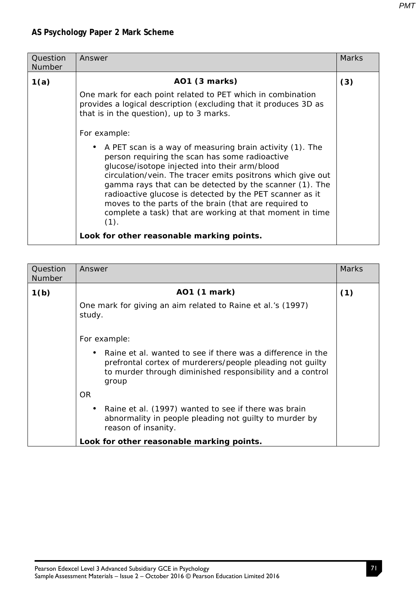| Question<br><b>Number</b> | Answer                                                                                                                                                                                                                                                                                                                                                                                                                                                                                         | <b>Marks</b> |
|---------------------------|------------------------------------------------------------------------------------------------------------------------------------------------------------------------------------------------------------------------------------------------------------------------------------------------------------------------------------------------------------------------------------------------------------------------------------------------------------------------------------------------|--------------|
| 1(a)                      | AO1 (3 marks)                                                                                                                                                                                                                                                                                                                                                                                                                                                                                  | (3)          |
|                           | One mark for each point related to PET which in combination<br>provides a logical description (excluding that it produces 3D as<br>that is in the question), up to 3 marks.                                                                                                                                                                                                                                                                                                                    |              |
|                           | For example:<br>A PET scan is a way of measuring brain activity (1). The<br>person requiring the scan has some radioactive<br>glucose/isotope injected into their arm/blood<br>circulation/vein. The tracer emits positrons which give out<br>gamma rays that can be detected by the scanner (1). The<br>radioactive glucose is detected by the PET scanner as it<br>moves to the parts of the brain (that are required to<br>complete a task) that are working at that moment in time<br>(1). |              |
|                           | Look for other reasonable marking points.                                                                                                                                                                                                                                                                                                                                                                                                                                                      |              |

| Question<br><b>Number</b> | Answer                                                                                                                                                                                         | <b>Marks</b> |
|---------------------------|------------------------------------------------------------------------------------------------------------------------------------------------------------------------------------------------|--------------|
| 1(b)                      | AO1 (1 mark)                                                                                                                                                                                   | (1)          |
|                           | One mark for giving an aim related to Raine et al.'s (1997)<br>study.                                                                                                                          |              |
|                           | For example:                                                                                                                                                                                   |              |
|                           | Raine et al. wanted to see if there was a difference in the<br>prefrontal cortex of murderers/people pleading not guilty<br>to murder through diminished responsibility and a control<br>group |              |
|                           | OR.                                                                                                                                                                                            |              |
|                           | Raine et al. (1997) wanted to see if there was brain<br>abnormality in people pleading not quilty to murder by<br>reason of insanity.                                                          |              |
|                           | Look for other reasonable marking points.                                                                                                                                                      |              |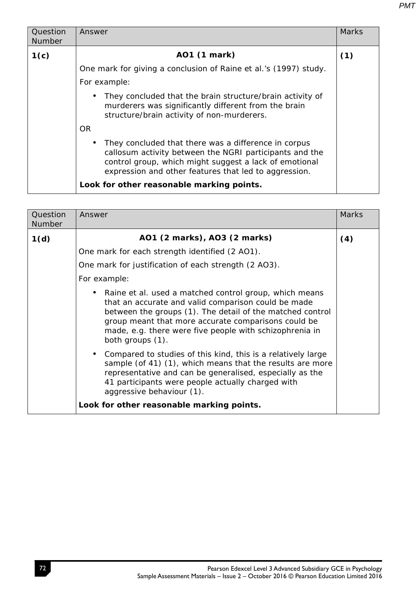| Question<br><b>Number</b> | Answer                                                                                                                                                                                                                             | <b>Marks</b> |
|---------------------------|------------------------------------------------------------------------------------------------------------------------------------------------------------------------------------------------------------------------------------|--------------|
| 1(c)                      | AO1 (1 mark)                                                                                                                                                                                                                       | (1)          |
|                           | One mark for giving a conclusion of Raine et al.'s (1997) study.                                                                                                                                                                   |              |
|                           | For example:                                                                                                                                                                                                                       |              |
|                           | They concluded that the brain structure/brain activity of<br>murderers was significantly different from the brain<br>structure/brain activity of non-murderers.                                                                    |              |
|                           | OR.                                                                                                                                                                                                                                |              |
|                           | They concluded that there was a difference in corpus<br>callosum activity between the NGRI participants and the<br>control group, which might suggest a lack of emotional<br>expression and other features that led to aggression. |              |
|                           | Look for other reasonable marking points.                                                                                                                                                                                          |              |

| Question<br>Number | Answer                                                                                                                                                                                                                                                                                                           | <b>Marks</b> |
|--------------------|------------------------------------------------------------------------------------------------------------------------------------------------------------------------------------------------------------------------------------------------------------------------------------------------------------------|--------------|
| 1(d)               | AO1 (2 marks), AO3 (2 marks)                                                                                                                                                                                                                                                                                     | (4)          |
|                    | One mark for each strength identified (2 AO1).                                                                                                                                                                                                                                                                   |              |
|                    | One mark for justification of each strength (2 AO3).                                                                                                                                                                                                                                                             |              |
|                    | For example:                                                                                                                                                                                                                                                                                                     |              |
|                    | Raine et al. used a matched control group, which means<br>that an accurate and valid comparison could be made<br>between the groups (1). The detail of the matched control<br>group meant that more accurate comparisons could be<br>made, e.g. there were five people with schizophrenia in<br>both groups (1). |              |
|                    | Compared to studies of this kind, this is a relatively large<br>sample (of 41) (1), which means that the results are more<br>representative and can be generalised, especially as the<br>41 participants were people actually charged with<br>aggressive behaviour (1).                                          |              |
|                    | Look for other reasonable marking points.                                                                                                                                                                                                                                                                        |              |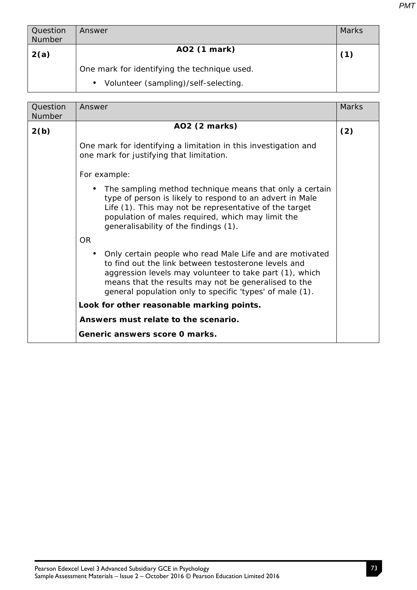| Question<br><b>Number</b> | Answer                                            | <b>Marks</b> |
|---------------------------|---------------------------------------------------|--------------|
| 2(a)                      | AO2 (1 mark)                                      | (1)          |
|                           | One mark for identifying the technique used.      |              |
|                           | Volunteer (sampling)/self-selecting.<br>$\bullet$ |              |

| Question | Answer                                                                                                                                                                                                                                                                                                       | <b>Marks</b> |
|----------|--------------------------------------------------------------------------------------------------------------------------------------------------------------------------------------------------------------------------------------------------------------------------------------------------------------|--------------|
| Number   |                                                                                                                                                                                                                                                                                                              |              |
| 2(b)     | AO2 (2 marks)                                                                                                                                                                                                                                                                                                | (2)          |
|          | One mark for identifying a limitation in this investigation and<br>one mark for justifying that limitation.                                                                                                                                                                                                  |              |
|          | For example:                                                                                                                                                                                                                                                                                                 |              |
|          | The sampling method technique means that only a certain<br>type of person is likely to respond to an advert in Male<br>Life (1). This may not be representative of the target<br>population of males required, which may limit the<br>generalisability of the findings (1).                                  |              |
|          | OR.                                                                                                                                                                                                                                                                                                          |              |
|          | Only certain people who read Male Life and are motivated<br>$\bullet$<br>to find out the link between testosterone levels and<br>aggression levels may volunteer to take part (1), which<br>means that the results may not be generalised to the<br>general population only to specific 'types' of male (1). |              |
|          | Look for other reasonable marking points.                                                                                                                                                                                                                                                                    |              |
|          | Answers must relate to the scenario.                                                                                                                                                                                                                                                                         |              |
|          | Generic answers score 0 marks.                                                                                                                                                                                                                                                                               |              |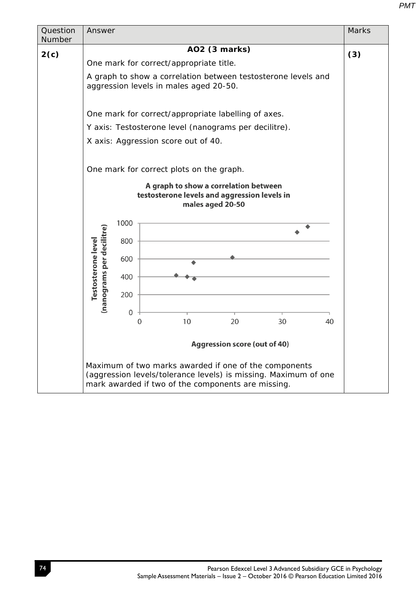| Question<br>Number | Answer                                                 |                                                                                                                                                                                | <b>Marks</b> |
|--------------------|--------------------------------------------------------|--------------------------------------------------------------------------------------------------------------------------------------------------------------------------------|--------------|
| 2(c)               |                                                        | AO2 (3 marks)                                                                                                                                                                  | (3)          |
|                    |                                                        | One mark for correct/appropriate title.                                                                                                                                        |              |
|                    |                                                        | A graph to show a correlation between testosterone levels and<br>aggression levels in males aged 20-50.                                                                        |              |
|                    |                                                        | One mark for correct/appropriate labelling of axes.                                                                                                                            |              |
|                    |                                                        | Y axis: Testosterone level (nanograms per decilitre).                                                                                                                          |              |
|                    |                                                        | X axis: Aggression score out of 40.                                                                                                                                            |              |
|                    |                                                        | One mark for correct plots on the graph.<br>A graph to show a correlation between<br>testosterone levels and aggression levels in<br>males aged 20-50                          |              |
|                    | 1000                                                   |                                                                                                                                                                                |              |
|                    | 800                                                    |                                                                                                                                                                                |              |
|                    | 600                                                    |                                                                                                                                                                                |              |
|                    | 400                                                    |                                                                                                                                                                                |              |
|                    | (nanograms per decilitre)<br>Testosterone level<br>200 |                                                                                                                                                                                |              |
|                    | 0                                                      |                                                                                                                                                                                |              |
|                    | 0                                                      | 10<br>20<br>30<br>40                                                                                                                                                           |              |
|                    |                                                        | <b>Aggression score (out of 40)</b>                                                                                                                                            |              |
|                    |                                                        | Maximum of two marks awarded if one of the components<br>(aggression levels/tolerance levels) is missing. Maximum of one<br>mark awarded if two of the components are missing. |              |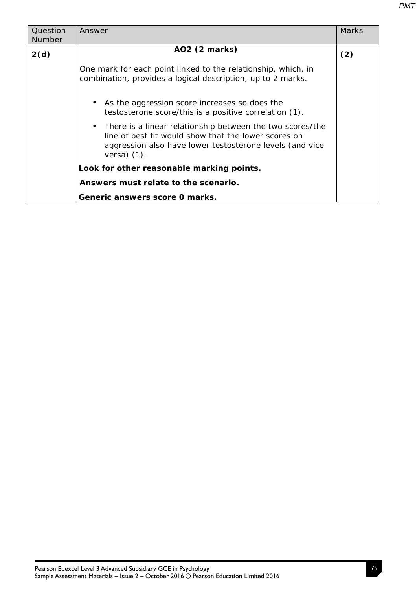| Question<br><b>Number</b> | Answer                                                                                                                                                                                                      | Marks |
|---------------------------|-------------------------------------------------------------------------------------------------------------------------------------------------------------------------------------------------------------|-------|
| 2(d)                      | AO2 (2 marks)                                                                                                                                                                                               | (2)   |
|                           | One mark for each point linked to the relationship, which, in<br>combination, provides a logical description, up to 2 marks.                                                                                |       |
|                           | As the aggression score increases so does the<br>testosterone score/this is a positive correlation (1).                                                                                                     |       |
|                           | There is a linear relationship between the two scores/the<br>$\bullet$<br>line of best fit would show that the lower scores on<br>aggression also have lower testosterone levels (and vice<br>versa $(1)$ . |       |
|                           | Look for other reasonable marking points.                                                                                                                                                                   |       |
|                           | Answers must relate to the scenario.                                                                                                                                                                        |       |
|                           | Generic answers score 0 marks.                                                                                                                                                                              |       |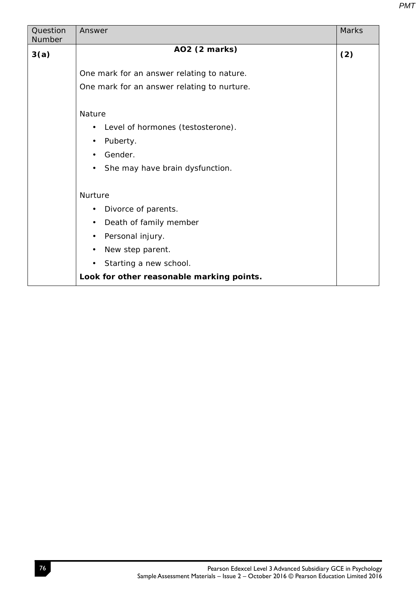| Question<br>Number | Answer                                         | <b>Marks</b> |
|--------------------|------------------------------------------------|--------------|
|                    |                                                |              |
| 3(a)               | AO2 (2 marks)                                  | (2)          |
|                    |                                                |              |
|                    | One mark for an answer relating to nature.     |              |
|                    | One mark for an answer relating to nurture.    |              |
|                    |                                                |              |
|                    | <b>Nature</b>                                  |              |
|                    | Level of hormones (testosterone).<br>$\bullet$ |              |
|                    | Puberty.<br>$\bullet$                          |              |
|                    | Gender.<br>$\bullet$                           |              |
|                    | She may have brain dysfunction.<br>$\bullet$   |              |
|                    |                                                |              |
|                    | <b>Nurture</b>                                 |              |
|                    | Divorce of parents.<br>$\bullet$               |              |
|                    | Death of family member<br>$\bullet$            |              |
|                    | Personal injury.<br>$\bullet$                  |              |
|                    | New step parent.<br>$\bullet$                  |              |
|                    | Starting a new school.<br>$\bullet$            |              |
|                    | Look for other reasonable marking points.      |              |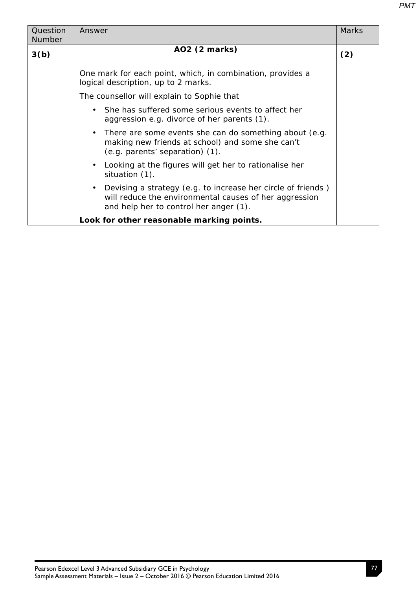| Question | Answer                                                                                                                                                           | <b>Marks</b> |
|----------|------------------------------------------------------------------------------------------------------------------------------------------------------------------|--------------|
| Number   |                                                                                                                                                                  |              |
| 3(b)     | AO2 (2 marks)                                                                                                                                                    | (2)          |
|          | One mark for each point, which, in combination, provides a<br>logical description, up to 2 marks.                                                                |              |
|          | The counsellor will explain to Sophie that                                                                                                                       |              |
|          | She has suffered some serious events to affect her<br>aggression e.g. divorce of her parents (1).                                                                |              |
|          | There are some events she can do something about (e.g.<br>$\bullet$<br>making new friends at school) and some she can't<br>(e.g. parents' separation) (1).       |              |
|          | Looking at the figures will get her to rationalise her<br>situation (1).                                                                                         |              |
|          | Devising a strategy (e.g. to increase her circle of friends)<br>will reduce the environmental causes of her aggression<br>and help her to control her anger (1). |              |
|          | Look for other reasonable marking points.                                                                                                                        |              |
|          |                                                                                                                                                                  |              |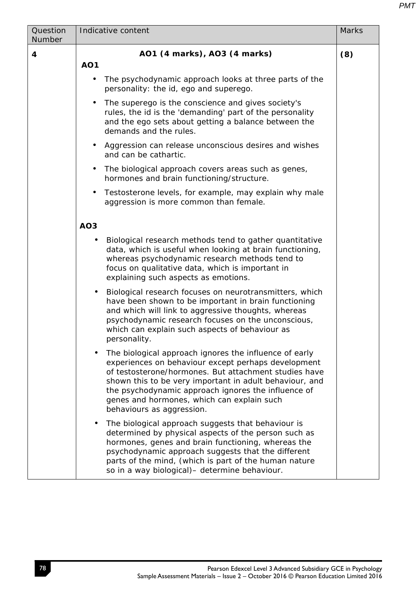| Question<br>Number | Indicative content                                                                                                                                                                                                                                                                                                                                                  | <b>Marks</b> |
|--------------------|---------------------------------------------------------------------------------------------------------------------------------------------------------------------------------------------------------------------------------------------------------------------------------------------------------------------------------------------------------------------|--------------|
| 4                  | AO1 (4 marks), AO3 (4 marks)                                                                                                                                                                                                                                                                                                                                        | (8)          |
|                    | <b>AO1</b>                                                                                                                                                                                                                                                                                                                                                          |              |
|                    | The psychodynamic approach looks at three parts of the<br>$\bullet$<br>personality: the id, ego and superego.                                                                                                                                                                                                                                                       |              |
|                    | The superego is the conscience and gives society's<br>$\bullet$<br>rules, the id is the 'demanding' part of the personality<br>and the ego sets about getting a balance between the<br>demands and the rules.                                                                                                                                                       |              |
|                    | Aggression can release unconscious desires and wishes<br>$\bullet$<br>and can be cathartic.                                                                                                                                                                                                                                                                         |              |
|                    | The biological approach covers areas such as genes,<br>٠<br>hormones and brain functioning/structure.                                                                                                                                                                                                                                                               |              |
|                    | Testosterone levels, for example, may explain why male<br>$\bullet$<br>aggression is more common than female.                                                                                                                                                                                                                                                       |              |
|                    | AO <sub>3</sub>                                                                                                                                                                                                                                                                                                                                                     |              |
|                    | Biological research methods tend to gather quantitative<br>$\bullet$<br>data, which is useful when looking at brain functioning,<br>whereas psychodynamic research methods tend to<br>focus on qualitative data, which is important in<br>explaining such aspects as emotions.                                                                                      |              |
|                    | Biological research focuses on neurotransmitters, which<br>$\bullet$<br>have been shown to be important in brain functioning<br>and which will link to aggressive thoughts, whereas<br>psychodynamic research focuses on the unconscious,<br>which can explain such aspects of behaviour as<br>personality.                                                         |              |
|                    | The biological approach ignores the influence of early<br>experiences on behaviour except perhaps development<br>of testosterone/hormones. But attachment studies have<br>shown this to be very important in adult behaviour, and<br>the psychodynamic approach ignores the influence of<br>genes and hormones, which can explain such<br>behaviours as aggression. |              |
|                    | The biological approach suggests that behaviour is<br>$\bullet$<br>determined by physical aspects of the person such as<br>hormones, genes and brain functioning, whereas the<br>psychodynamic approach suggests that the different<br>parts of the mind, (which is part of the human nature<br>so in a way biological)- determine behaviour.                       |              |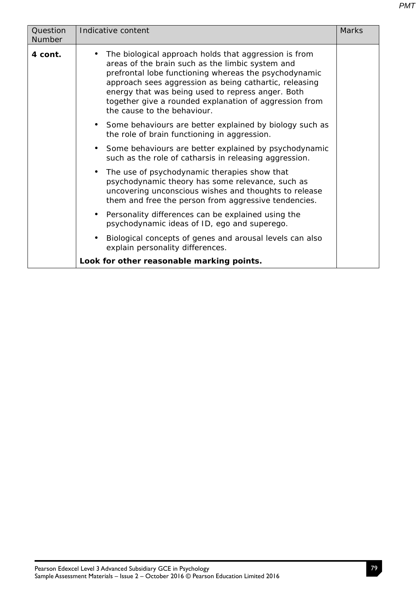| Question<br>Number | Indicative content                                                                                                                                                                                                                                                                                                                                                         | <b>Marks</b> |
|--------------------|----------------------------------------------------------------------------------------------------------------------------------------------------------------------------------------------------------------------------------------------------------------------------------------------------------------------------------------------------------------------------|--------------|
| 4 cont.            | The biological approach holds that aggression is from<br>areas of the brain such as the limbic system and<br>prefrontal lobe functioning whereas the psychodynamic<br>approach sees aggression as being cathartic, releasing<br>energy that was being used to repress anger. Both<br>together give a rounded explanation of aggression from<br>the cause to the behaviour. |              |
|                    | • Some behaviours are better explained by biology such as<br>the role of brain functioning in aggression.                                                                                                                                                                                                                                                                  |              |
|                    | Some behaviours are better explained by psychodynamic<br>$\bullet$<br>such as the role of catharsis in releasing aggression.                                                                                                                                                                                                                                               |              |
|                    | The use of psychodynamic therapies show that<br>$\bullet$<br>psychodynamic theory has some relevance, such as<br>uncovering unconscious wishes and thoughts to release<br>them and free the person from aggressive tendencies.                                                                                                                                             |              |
|                    | Personality differences can be explained using the<br>$\bullet$<br>psychodynamic ideas of ID, ego and superego.                                                                                                                                                                                                                                                            |              |
|                    | Biological concepts of genes and arousal levels can also<br>explain personality differences.                                                                                                                                                                                                                                                                               |              |
|                    | Look for other reasonable marking points.                                                                                                                                                                                                                                                                                                                                  |              |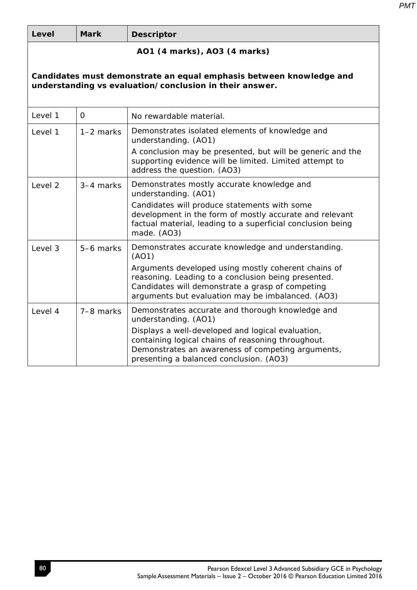| <b>Level</b>                                                                                                                   | <b>Mark</b>                  | <b>Descriptor</b>                                                                                                                                                                                                   |  |  |  |
|--------------------------------------------------------------------------------------------------------------------------------|------------------------------|---------------------------------------------------------------------------------------------------------------------------------------------------------------------------------------------------------------------|--|--|--|
|                                                                                                                                | AO1 (4 marks), AO3 (4 marks) |                                                                                                                                                                                                                     |  |  |  |
| Candidates must demonstrate an equal emphasis between knowledge and<br>understanding vs evaluation/conclusion in their answer. |                              |                                                                                                                                                                                                                     |  |  |  |
| Level 1                                                                                                                        | $\overline{O}$               | No rewardable material.                                                                                                                                                                                             |  |  |  |
| Level 1                                                                                                                        | $1-2$ marks                  | Demonstrates isolated elements of knowledge and<br>understanding. (AO1)                                                                                                                                             |  |  |  |
|                                                                                                                                |                              | A conclusion may be presented, but will be generic and the<br>supporting evidence will be limited. Limited attempt to<br>address the question. (AO3)                                                                |  |  |  |
| Level 2                                                                                                                        | 3-4 marks                    | Demonstrates mostly accurate knowledge and<br>understanding. (AO1)                                                                                                                                                  |  |  |  |
|                                                                                                                                |                              | Candidates will produce statements with some<br>development in the form of mostly accurate and relevant<br>factual material, leading to a superficial conclusion being<br>made. (AO3)                               |  |  |  |
| Level 3                                                                                                                        | 5-6 marks                    | Demonstrates accurate knowledge and understanding.<br>(AO1)                                                                                                                                                         |  |  |  |
|                                                                                                                                |                              | Arguments developed using mostly coherent chains of<br>reasoning. Leading to a conclusion being presented.<br>Candidates will demonstrate a grasp of competing<br>arguments but evaluation may be imbalanced. (AO3) |  |  |  |
| Level 4                                                                                                                        | 7-8 marks                    | Demonstrates accurate and thorough knowledge and<br>understanding. (AO1)                                                                                                                                            |  |  |  |
|                                                                                                                                |                              | Displays a well-developed and logical evaluation,<br>containing logical chains of reasoning throughout.<br>Demonstrates an awareness of competing arguments,<br>presenting a balanced conclusion. (AO3)             |  |  |  |

*PMT*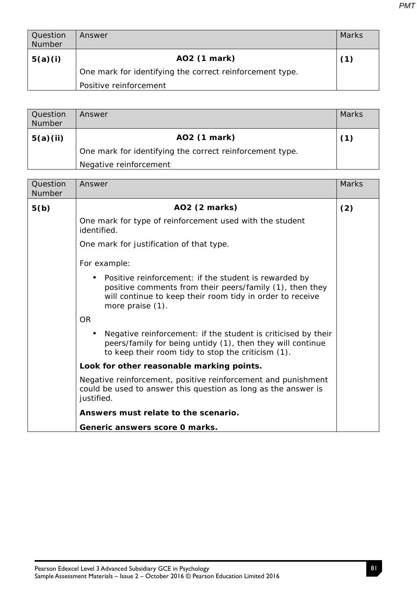| <b>Question</b><br>Number | Answer                                                   | <b>Marks</b> |
|---------------------------|----------------------------------------------------------|--------------|
| 5(a)(i)                   | AO2 (1 mark)                                             | (1)          |
|                           | One mark for identifying the correct reinforcement type. |              |
|                           | Positive reinforcement                                   |              |

| Question<br><b>Number</b> | Answer                                                   | <b>Marks</b> |
|---------------------------|----------------------------------------------------------|--------------|
| 5(a)(ii)                  | AO2 (1 mark)                                             | (1)          |
|                           | One mark for identifying the correct reinforcement type. |              |
|                           | Negative reinforcement                                   |              |

| Question<br><b>Number</b> | Answer                                                                                                                                                                                             | <b>Marks</b> |
|---------------------------|----------------------------------------------------------------------------------------------------------------------------------------------------------------------------------------------------|--------------|
| 5(b)                      | AO2 (2 marks)                                                                                                                                                                                      | (2)          |
|                           | One mark for type of reinforcement used with the student<br>identified.                                                                                                                            |              |
|                           | One mark for justification of that type.                                                                                                                                                           |              |
|                           | For example:                                                                                                                                                                                       |              |
|                           | Positive reinforcement: if the student is rewarded by<br>positive comments from their peers/family (1), then they<br>will continue to keep their room tidy in order to receive<br>more praise (1). |              |
|                           | <b>OR</b>                                                                                                                                                                                          |              |
|                           | Negative reinforcement: if the student is criticised by their<br>$\bullet$<br>peers/family for being untidy (1), then they will continue<br>to keep their room tidy to stop the criticism (1).     |              |
|                           | Look for other reasonable marking points.                                                                                                                                                          |              |
|                           | Negative reinforcement, positive reinforcement and punishment<br>could be used to answer this question as long as the answer is<br>justified.                                                      |              |
|                           | Answers must relate to the scenario.                                                                                                                                                               |              |
|                           | Generic answers score 0 marks.                                                                                                                                                                     |              |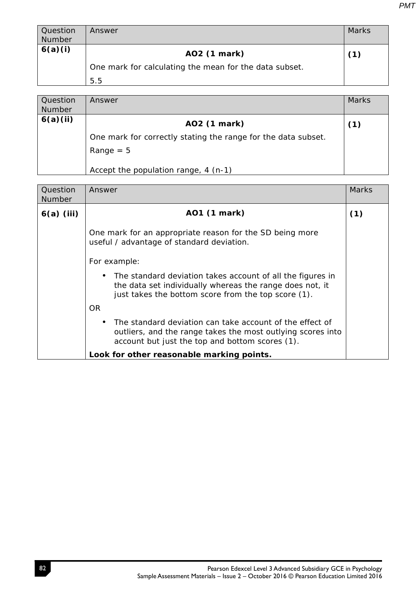| Question<br>Number | Answer                                                                 | Marks |
|--------------------|------------------------------------------------------------------------|-------|
| 6(a)(i)            | AO2 (1 mark)<br>One mark for calculating the mean for the data subset. | (1)   |
|                    | 5.5                                                                    |       |

| Question<br>Number | Answer                                                        | <b>Marks</b> |
|--------------------|---------------------------------------------------------------|--------------|
| 6(a)(ii)           | AO2 (1 mark)                                                  | 〔1〕          |
|                    | One mark for correctly stating the range for the data subset. |              |
|                    | $Range = 5$                                                   |              |
|                    | Accept the population range, 4 (n-1)                          |              |

| Question<br><b>Number</b> | Answer                                                                                                                                                                        | Marks |
|---------------------------|-------------------------------------------------------------------------------------------------------------------------------------------------------------------------------|-------|
| $6(a)$ (iii)              | AO1 (1 mark)                                                                                                                                                                  | (1)   |
|                           | One mark for an appropriate reason for the SD being more<br>useful / advantage of standard deviation.                                                                         |       |
|                           | For example:                                                                                                                                                                  |       |
|                           | The standard deviation takes account of all the figures in<br>the data set individually whereas the range does not, it<br>just takes the bottom score from the top score (1). |       |
|                           | OR.                                                                                                                                                                           |       |
|                           | The standard deviation can take account of the effect of<br>outliers, and the range takes the most outlying scores into<br>account but just the top and bottom scores (1).    |       |
|                           | Look for other reasonable marking points.                                                                                                                                     |       |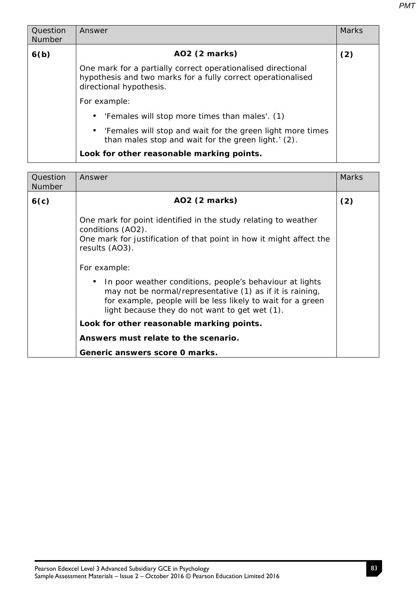| Question      | Answer                                                                                                                                                  | <b>Marks</b> |
|---------------|---------------------------------------------------------------------------------------------------------------------------------------------------------|--------------|
| <b>Number</b> |                                                                                                                                                         |              |
| 6(b)          | AO2 (2 marks)                                                                                                                                           | (2)          |
|               | One mark for a partially correct operationalised directional<br>hypothesis and two marks for a fully correct operationalised<br>directional hypothesis. |              |
|               | For example:                                                                                                                                            |              |
|               | 'Females will stop more times than males'. (1)<br>$\bullet$                                                                                             |              |
|               | 'Females will stop and wait for the green light more times<br>$\bullet$<br>than males stop and wait for the green light.' (2).                          |              |
|               | Look for other reasonable marking points.                                                                                                               |              |

| Question<br><b>Number</b> | Answer                                                                                                                                                                                                                                                                                                                                                                               | <b>Marks</b> |
|---------------------------|--------------------------------------------------------------------------------------------------------------------------------------------------------------------------------------------------------------------------------------------------------------------------------------------------------------------------------------------------------------------------------------|--------------|
| 6(c)                      | AO2 (2 marks)                                                                                                                                                                                                                                                                                                                                                                        | (2)          |
|                           | One mark for point identified in the study relating to weather<br>conditions (AO2).<br>One mark for justification of that point in how it might affect the<br>results (AO3).<br>For example:<br>In poor weather conditions, people's behaviour at lights<br>may not be normal/representative (1) as if it is raining,<br>for example, people will be less likely to wait for a green |              |
|                           | light because they do not want to get wet (1).<br>Look for other reasonable marking points.                                                                                                                                                                                                                                                                                          |              |
|                           | Answers must relate to the scenario.                                                                                                                                                                                                                                                                                                                                                 |              |
|                           | Generic answers score 0 marks.                                                                                                                                                                                                                                                                                                                                                       |              |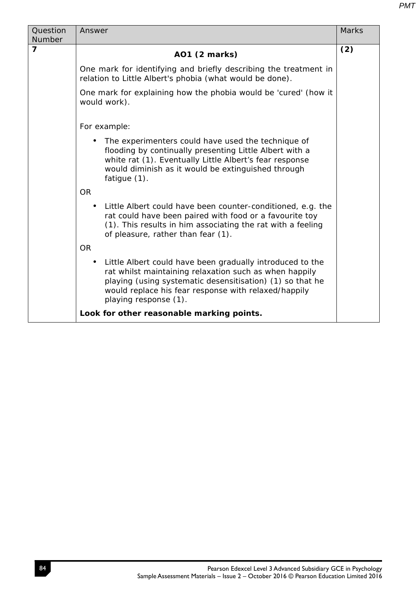| Question<br><b>Number</b> | Answer                                                                                                                                                                                                                                                                         | <b>Marks</b> |
|---------------------------|--------------------------------------------------------------------------------------------------------------------------------------------------------------------------------------------------------------------------------------------------------------------------------|--------------|
| $\overline{\mathbf{z}}$   | A01 (2 marks)                                                                                                                                                                                                                                                                  | (2)          |
|                           | One mark for identifying and briefly describing the treatment in<br>relation to Little Albert's phobia (what would be done).                                                                                                                                                   |              |
|                           | One mark for explaining how the phobia would be 'cured' (how it<br>would work).                                                                                                                                                                                                |              |
|                           | For example:                                                                                                                                                                                                                                                                   |              |
|                           | The experimenters could have used the technique of<br>flooding by continually presenting Little Albert with a<br>white rat (1). Eventually Little Albert's fear response<br>would diminish as it would be extinguished through<br>fatigue $(1)$ .                              |              |
|                           | <b>OR</b>                                                                                                                                                                                                                                                                      |              |
|                           | Little Albert could have been counter-conditioned, e.g. the<br>$\bullet$<br>rat could have been paired with food or a favourite toy<br>(1). This results in him associating the rat with a feeling<br>of pleasure, rather than fear (1).                                       |              |
|                           | <b>OR</b>                                                                                                                                                                                                                                                                      |              |
|                           | Little Albert could have been gradually introduced to the<br>$\bullet$<br>rat whilst maintaining relaxation such as when happily<br>playing (using systematic desensitisation) (1) so that he<br>would replace his fear response with relaxed/happily<br>playing response (1). |              |
|                           | Look for other reasonable marking points.                                                                                                                                                                                                                                      |              |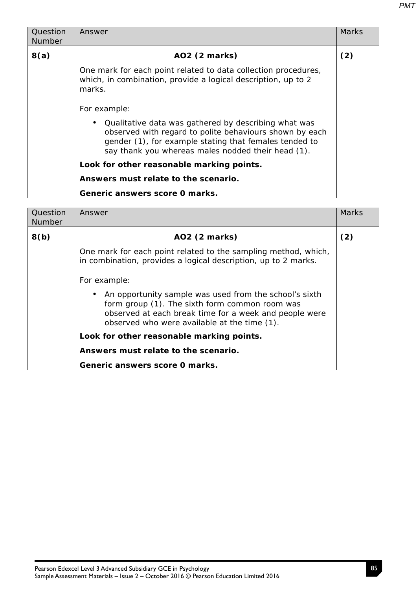| Question      | Answer                                                                                                                                                                                                                          | <b>Marks</b> |
|---------------|---------------------------------------------------------------------------------------------------------------------------------------------------------------------------------------------------------------------------------|--------------|
| <b>Number</b> |                                                                                                                                                                                                                                 |              |
| 8(a)          | AO2 (2 marks)                                                                                                                                                                                                                   | (2)          |
|               | One mark for each point related to data collection procedures,<br>which, in combination, provide a logical description, up to 2<br>marks.                                                                                       |              |
|               | For example:                                                                                                                                                                                                                    |              |
|               | Qualitative data was gathered by describing what was<br>observed with regard to polite behaviours shown by each<br>gender (1), for example stating that females tended to<br>say thank you whereas males nodded their head (1). |              |
|               | Look for other reasonable marking points.                                                                                                                                                                                       |              |
|               | Answers must relate to the scenario.                                                                                                                                                                                            |              |
|               | Generic answers score 0 marks.                                                                                                                                                                                                  |              |
|               |                                                                                                                                                                                                                                 |              |
| $\sim$        | $\mathbf{A}$                                                                                                                                                                                                                    | $A = -1$     |

| Question<br><b>Number</b> | Answer                                                                                                                                                                                                             | <b>Marks</b> |
|---------------------------|--------------------------------------------------------------------------------------------------------------------------------------------------------------------------------------------------------------------|--------------|
| 8(b)                      | AO2 (2 marks)                                                                                                                                                                                                      | (2)          |
|                           | One mark for each point related to the sampling method, which,<br>in combination, provides a logical description, up to 2 marks.<br>For example:                                                                   |              |
|                           | An opportunity sample was used from the school's sixth<br>form group (1). The sixth form common room was<br>observed at each break time for a week and people were<br>observed who were available at the time (1). |              |
|                           | Look for other reasonable marking points.                                                                                                                                                                          |              |
|                           | Answers must relate to the scenario.                                                                                                                                                                               |              |
|                           | Generic answers score 0 marks.                                                                                                                                                                                     |              |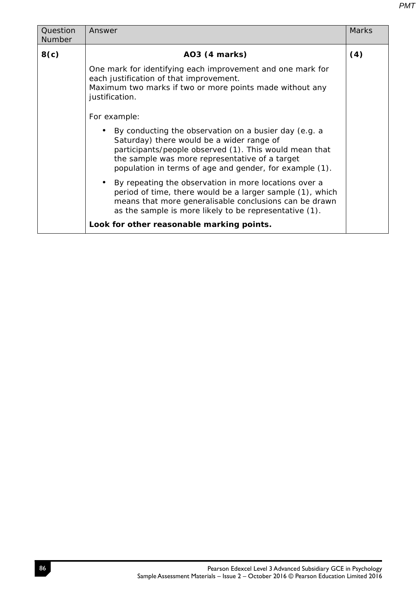|--|

| Question<br>Number | <b>Marks</b><br>Answer                                                                                                                                                                                                                                                                    |     |  |
|--------------------|-------------------------------------------------------------------------------------------------------------------------------------------------------------------------------------------------------------------------------------------------------------------------------------------|-----|--|
| 8(c)               | AO3 (4 marks)                                                                                                                                                                                                                                                                             | (4) |  |
|                    | One mark for identifying each improvement and one mark for<br>each justification of that improvement.<br>Maximum two marks if two or more points made without any<br>justification.                                                                                                       |     |  |
|                    | For example:<br>By conducting the observation on a busier day (e.g. a<br>Saturday) there would be a wider range of<br>participants/people observed (1). This would mean that<br>the sample was more representative of a target<br>population in terms of age and gender, for example (1). |     |  |
|                    | By repeating the observation in more locations over a<br>period of time, there would be a larger sample (1), which<br>means that more generalisable conclusions can be drawn<br>as the sample is more likely to be representative (1).                                                    |     |  |
|                    | Look for other reasonable marking points.                                                                                                                                                                                                                                                 |     |  |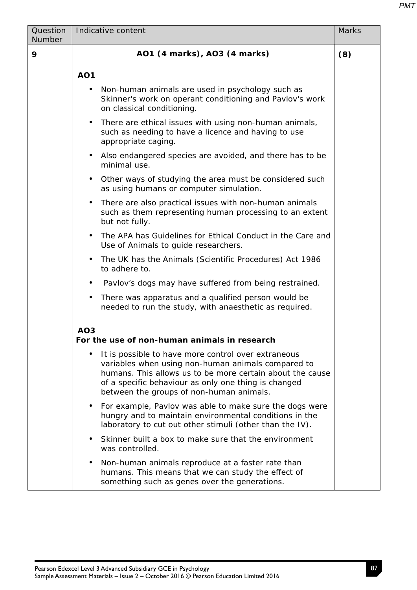| Question<br>Number | Indicative content<br><b>Marks</b>                                                                                                                                                                                                                                         |     |  |
|--------------------|----------------------------------------------------------------------------------------------------------------------------------------------------------------------------------------------------------------------------------------------------------------------------|-----|--|
| 9                  | AO1 (4 marks), AO3 (4 marks)                                                                                                                                                                                                                                               | (8) |  |
|                    | <b>AO1</b>                                                                                                                                                                                                                                                                 |     |  |
|                    | Non-human animals are used in psychology such as<br>Skinner's work on operant conditioning and Pavlov's work<br>on classical conditioning.                                                                                                                                 |     |  |
|                    | There are ethical issues with using non-human animals,<br>$\bullet$<br>such as needing to have a licence and having to use<br>appropriate caging.                                                                                                                          |     |  |
|                    | Also endangered species are avoided, and there has to be<br>٠<br>minimal use.                                                                                                                                                                                              |     |  |
|                    | Other ways of studying the area must be considered such<br>٠<br>as using humans or computer simulation.                                                                                                                                                                    |     |  |
|                    | There are also practical issues with non-human animals<br>$\bullet$<br>such as them representing human processing to an extent<br>but not fully.                                                                                                                           |     |  |
|                    | The APA has Guidelines for Ethical Conduct in the Care and<br>Use of Animals to guide researchers.                                                                                                                                                                         |     |  |
|                    | The UK has the Animals (Scientific Procedures) Act 1986<br>$\bullet$<br>to adhere to.                                                                                                                                                                                      |     |  |
|                    | Pavlov's dogs may have suffered from being restrained.                                                                                                                                                                                                                     |     |  |
|                    | There was apparatus and a qualified person would be<br>$\bullet$<br>needed to run the study, with anaesthetic as required.                                                                                                                                                 |     |  |
|                    | AO <sub>3</sub><br>For the use of non-human animals in research                                                                                                                                                                                                            |     |  |
|                    | It is possible to have more control over extraneous<br>variables when using non-human animals compared to<br>humans. This allows us to be more certain about the cause<br>of a specific behaviour as only one thing is changed<br>between the groups of non-human animals. |     |  |
|                    | For example, Pavlov was able to make sure the dogs were<br>hungry and to maintain environmental conditions in the<br>laboratory to cut out other stimuli (other than the IV).                                                                                              |     |  |
|                    | Skinner built a box to make sure that the environment<br>was controlled.                                                                                                                                                                                                   |     |  |
|                    | Non-human animals reproduce at a faster rate than<br>$\bullet$<br>humans. This means that we can study the effect of<br>something such as genes over the generations.                                                                                                      |     |  |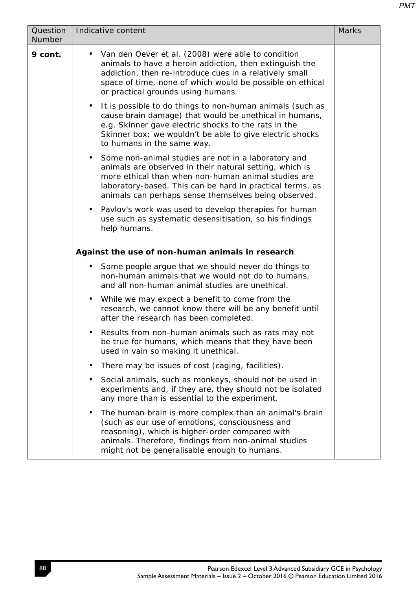| Question<br>Number | Indicative content<br><b>Marks</b>                                                                                                                                                                                                                                                           |  |  |
|--------------------|----------------------------------------------------------------------------------------------------------------------------------------------------------------------------------------------------------------------------------------------------------------------------------------------|--|--|
| 9 cont.            | • Van den Oever et al. (2008) were able to condition<br>animals to have a heroin addiction, then extinguish the<br>addiction, then re-introduce cues in a relatively small<br>space of time, none of which would be possible on ethical<br>or practical grounds using humans.                |  |  |
|                    | It is possible to do things to non-human animals (such as<br>$\bullet$<br>cause brain damage) that would be unethical in humans,<br>e.g. Skinner gave electric shocks to the rats in the<br>Skinner box; we wouldn't be able to give electric shocks<br>to humans in the same way.           |  |  |
|                    | • Some non-animal studies are not in a laboratory and<br>animals are observed in their natural setting, which is<br>more ethical than when non-human animal studies are<br>laboratory-based. This can be hard in practical terms, as<br>animals can perhaps sense themselves being observed. |  |  |
|                    | • Pavlov's work was used to develop therapies for human<br>use such as systematic desensitisation, so his findings<br>help humans.                                                                                                                                                           |  |  |
|                    | Against the use of non-human animals in research                                                                                                                                                                                                                                             |  |  |
|                    | • Some people argue that we should never do things to<br>non-human animals that we would not do to humans,<br>and all non-human animal studies are unethical.                                                                                                                                |  |  |
|                    | • While we may expect a benefit to come from the<br>research, we cannot know there will be any benefit until<br>after the research has been completed.                                                                                                                                       |  |  |
|                    | Results from non-human animals such as rats may not<br>$\bullet$<br>be true for humans, which means that they have been<br>used in vain so making it unethical.                                                                                                                              |  |  |
|                    | There may be issues of cost (caging, facilities).<br>٠                                                                                                                                                                                                                                       |  |  |
|                    | Social animals, such as monkeys, should not be used in<br>٠<br>experiments and, if they are, they should not be isolated<br>any more than is essential to the experiment.                                                                                                                    |  |  |
|                    | The human brain is more complex than an animal's brain<br>٠<br>(such as our use of emotions, consciousness and<br>reasoning), which is higher-order compared with<br>animals. Therefore, findings from non-animal studies<br>might not be generalisable enough to humans.                    |  |  |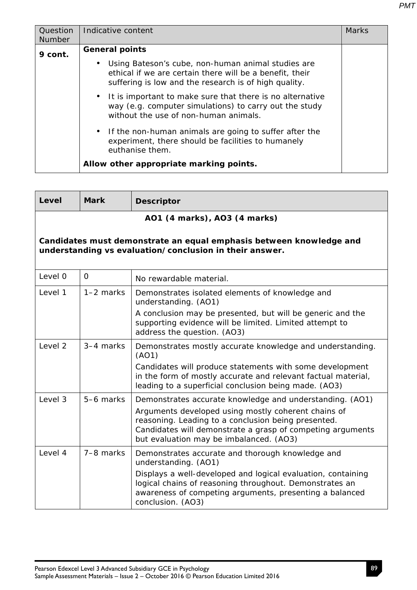| Question      | Indicative content                                                                                                                                                      |  |
|---------------|-------------------------------------------------------------------------------------------------------------------------------------------------------------------------|--|
| <b>Number</b> |                                                                                                                                                                         |  |
| 9 cont.       | <b>General points</b>                                                                                                                                                   |  |
|               | Using Bateson's cube, non-human animal studies are<br>ethical if we are certain there will be a benefit, their<br>suffering is low and the research is of high quality. |  |
|               | • It is important to make sure that there is no alternative<br>way (e.g. computer simulations) to carry out the study<br>without the use of non-human animals.          |  |
|               | • If the non-human animals are going to suffer after the<br>experiment, there should be facilities to humanely<br>euthanise them.                                       |  |
|               | Allow other appropriate marking points.                                                                                                                                 |  |

| Level                                                                                                                          | <b>Mark</b>                  | <b>Descriptor</b>                                                                                                                                                                                                                                                                   |  |
|--------------------------------------------------------------------------------------------------------------------------------|------------------------------|-------------------------------------------------------------------------------------------------------------------------------------------------------------------------------------------------------------------------------------------------------------------------------------|--|
|                                                                                                                                | AO1 (4 marks), AO3 (4 marks) |                                                                                                                                                                                                                                                                                     |  |
| Candidates must demonstrate an equal emphasis between knowledge and<br>understanding vs evaluation/conclusion in their answer. |                              |                                                                                                                                                                                                                                                                                     |  |
| Level 0                                                                                                                        | $\overline{0}$               | No rewardable material.                                                                                                                                                                                                                                                             |  |
| Level 1                                                                                                                        | $1-2$ marks                  | Demonstrates isolated elements of knowledge and<br>understanding. (AO1)                                                                                                                                                                                                             |  |
|                                                                                                                                |                              | A conclusion may be presented, but will be generic and the<br>supporting evidence will be limited. Limited attempt to<br>address the question. (AO3)                                                                                                                                |  |
| Level <sub>2</sub>                                                                                                             | 3-4 marks                    | Demonstrates mostly accurate knowledge and understanding.<br>(AO1)<br>Candidates will produce statements with some development<br>in the form of mostly accurate and relevant factual material,<br>leading to a superficial conclusion being made. (AO3)                            |  |
| Level 3                                                                                                                        | 5-6 marks                    | Demonstrates accurate knowledge and understanding. (AO1)<br>Arguments developed using mostly coherent chains of<br>reasoning. Leading to a conclusion being presented.<br>Candidates will demonstrate a grasp of competing arguments<br>but evaluation may be imbalanced. (AO3)     |  |
| Level 4                                                                                                                        | 7-8 marks                    | Demonstrates accurate and thorough knowledge and<br>understanding. (AO1)<br>Displays a well-developed and logical evaluation, containing<br>logical chains of reasoning throughout. Demonstrates an<br>awareness of competing arguments, presenting a balanced<br>conclusion. (AO3) |  |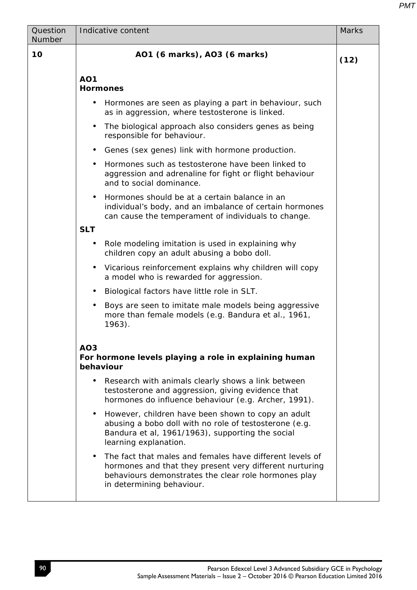| Question<br>Number | Indicative content<br><b>Marks</b>                                                                                                                                                                       |      |  |
|--------------------|----------------------------------------------------------------------------------------------------------------------------------------------------------------------------------------------------------|------|--|
| 10                 | AO1 (6 marks), AO3 (6 marks)                                                                                                                                                                             | (12) |  |
|                    | <b>AO1</b><br><b>Hormones</b>                                                                                                                                                                            |      |  |
|                    | Hormones are seen as playing a part in behaviour, such<br>$\bullet$<br>as in aggression, where testosterone is linked.                                                                                   |      |  |
|                    | The biological approach also considers genes as being<br>$\bullet$<br>responsible for behaviour.                                                                                                         |      |  |
|                    | Genes (sex genes) link with hormone production.<br>$\bullet$                                                                                                                                             |      |  |
|                    | Hormones such as testosterone have been linked to<br>aggression and adrenaline for fight or flight behaviour<br>and to social dominance.                                                                 |      |  |
|                    | Hormones should be at a certain balance in an<br>individual's body, and an imbalance of certain hormones<br>can cause the temperament of individuals to change.                                          |      |  |
|                    | <b>SLT</b>                                                                                                                                                                                               |      |  |
|                    | Role modeling imitation is used in explaining why<br>children copy an adult abusing a bobo doll.                                                                                                         |      |  |
|                    | Vicarious reinforcement explains why children will copy<br>$\bullet$<br>a model who is rewarded for aggression.                                                                                          |      |  |
|                    | Biological factors have little role in SLT.<br>$\bullet$                                                                                                                                                 |      |  |
|                    | Boys are seen to imitate male models being aggressive<br>$\bullet$<br>more than female models (e.g. Bandura et al., 1961,<br>$1963$ ).                                                                   |      |  |
|                    | AO <sub>3</sub><br>For hormone levels playing a role in explaining human<br>behaviour                                                                                                                    |      |  |
|                    | Research with animals clearly shows a link between<br>testosterone and aggression, giving evidence that<br>hormones do influence behaviour (e.g. Archer, 1991).                                          |      |  |
|                    | However, children have been shown to copy an adult<br>abusing a bobo doll with no role of testosterone (e.g.<br>Bandura et al, 1961/1963), supporting the social<br>learning explanation.                |      |  |
|                    | The fact that males and females have different levels of<br>hormones and that they present very different nurturing<br>behaviours demonstrates the clear role hormones play<br>in determining behaviour. |      |  |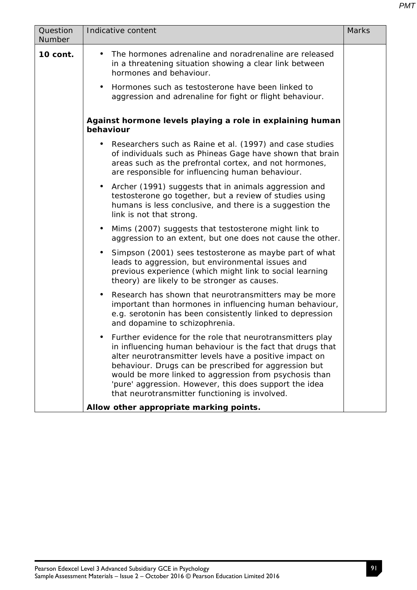| Question<br>Number | Indicative content                                                                                                                                                                                                                                                                                                                                                                                                | <b>Marks</b> |
|--------------------|-------------------------------------------------------------------------------------------------------------------------------------------------------------------------------------------------------------------------------------------------------------------------------------------------------------------------------------------------------------------------------------------------------------------|--------------|
| 10 cont.           | The hormones adrenaline and noradrenaline are released<br>$\bullet$<br>in a threatening situation showing a clear link between<br>hormones and behaviour.<br>Hormones such as testosterone have been linked to<br>$\bullet$                                                                                                                                                                                       |              |
|                    | aggression and adrenaline for fight or flight behaviour.                                                                                                                                                                                                                                                                                                                                                          |              |
|                    | Against hormone levels playing a role in explaining human<br>behaviour                                                                                                                                                                                                                                                                                                                                            |              |
|                    | Researchers such as Raine et al. (1997) and case studies<br>٠<br>of individuals such as Phineas Gage have shown that brain<br>areas such as the prefrontal cortex, and not hormones,<br>are responsible for influencing human behaviour.                                                                                                                                                                          |              |
|                    | Archer (1991) suggests that in animals aggression and<br>$\bullet$<br>testosterone go together, but a review of studies using<br>humans is less conclusive, and there is a suggestion the<br>link is not that strong.                                                                                                                                                                                             |              |
|                    | Mims (2007) suggests that testosterone might link to<br>aggression to an extent, but one does not cause the other.                                                                                                                                                                                                                                                                                                |              |
|                    | Simpson (2001) sees testosterone as maybe part of what<br>$\bullet$<br>leads to aggression, but environmental issues and<br>previous experience (which might link to social learning<br>theory) are likely to be stronger as causes.                                                                                                                                                                              |              |
|                    | Research has shown that neurotransmitters may be more<br>$\bullet$<br>important than hormones in influencing human behaviour,<br>e.g. serotonin has been consistently linked to depression<br>and dopamine to schizophrenia.                                                                                                                                                                                      |              |
|                    | Further evidence for the role that neurotransmitters play<br>in influencing human behaviour is the fact that drugs that<br>alter neurotransmitter levels have a positive impact on<br>behaviour. Drugs can be prescribed for aggression but<br>would be more linked to aggression from psychosis than<br>'pure' aggression. However, this does support the idea<br>that neurotransmitter functioning is involved. |              |
|                    | Allow other appropriate marking points.                                                                                                                                                                                                                                                                                                                                                                           |              |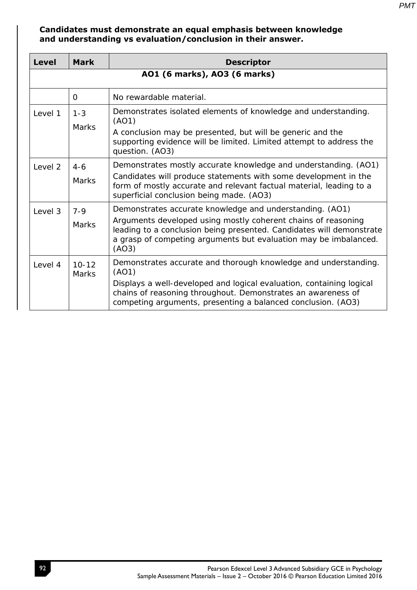**Candidates must demonstrate an equal emphasis between knowledge and understanding vs evaluation/conclusion in their answer.** 

| <b>Level</b> | <b>Mark</b>                  | <b>Descriptor</b>                                                                                                                                                                                                                                                                |  |
|--------------|------------------------------|----------------------------------------------------------------------------------------------------------------------------------------------------------------------------------------------------------------------------------------------------------------------------------|--|
|              | A01 (6 marks), A03 (6 marks) |                                                                                                                                                                                                                                                                                  |  |
|              | $\overline{0}$               | No rewardable material.                                                                                                                                                                                                                                                          |  |
| Level 1      | $1 - 3$<br><b>Marks</b>      | Demonstrates isolated elements of knowledge and understanding.<br>(AO1)<br>A conclusion may be presented, but will be generic and the<br>supporting evidence will be limited. Limited attempt to address the<br>question. (AO3)                                                  |  |
| Level 2      | $4-6$<br><b>Marks</b>        | Demonstrates mostly accurate knowledge and understanding. (AO1)<br>Candidates will produce statements with some development in the<br>form of mostly accurate and relevant factual material, leading to a<br>superficial conclusion being made. (AO3)                            |  |
| Level 3      | $7 - 9$<br><b>Marks</b>      | Demonstrates accurate knowledge and understanding. (AO1)<br>Arguments developed using mostly coherent chains of reasoning<br>leading to a conclusion being presented. Candidates will demonstrate<br>a grasp of competing arguments but evaluation may be imbalanced.<br>(AO3)   |  |
| Level 4      | $10 - 12$<br><b>Marks</b>    | Demonstrates accurate and thorough knowledge and understanding.<br>(AO1)<br>Displays a well-developed and logical evaluation, containing logical<br>chains of reasoning throughout. Demonstrates an awareness of<br>competing arguments, presenting a balanced conclusion. (AO3) |  |